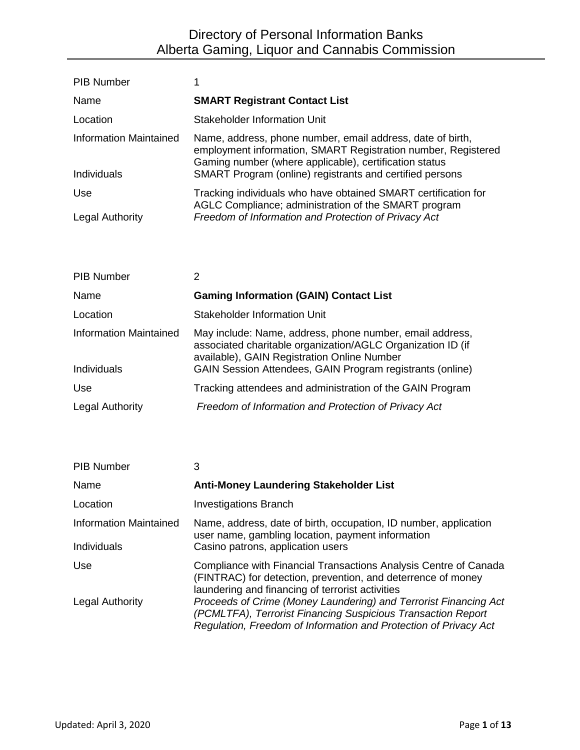| <b>PIB Number</b>      |                                                                                                                                                                                       |
|------------------------|---------------------------------------------------------------------------------------------------------------------------------------------------------------------------------------|
| Name                   | <b>SMART Registrant Contact List</b>                                                                                                                                                  |
| Location               | Stakeholder Information Unit                                                                                                                                                          |
| Information Maintained | Name, address, phone number, email address, date of birth,<br>employment information, SMART Registration number, Registered<br>Gaming number (where applicable), certification status |
| Individuals            | SMART Program (online) registrants and certified persons                                                                                                                              |
| Use                    | Tracking individuals who have obtained SMART certification for<br>AGLC Compliance; administration of the SMART program                                                                |
| <b>Legal Authority</b> | Freedom of Information and Protection of Privacy Act                                                                                                                                  |

| <b>PIB Number</b>             | 2                                                                                                                                                                      |
|-------------------------------|------------------------------------------------------------------------------------------------------------------------------------------------------------------------|
| Name                          | <b>Gaming Information (GAIN) Contact List</b>                                                                                                                          |
| Location                      | <b>Stakeholder Information Unit</b>                                                                                                                                    |
| <b>Information Maintained</b> | May include: Name, address, phone number, email address,<br>associated charitable organization/AGLC Organization ID (if<br>available), GAIN Registration Online Number |
| Individuals                   | GAIN Session Attendees, GAIN Program registrants (online)                                                                                                              |
| <b>Use</b>                    | Tracking attendees and administration of the GAIN Program                                                                                                              |
| <b>Legal Authority</b>        | Freedom of Information and Protection of Privacy Act                                                                                                                   |

| <b>PIB Number</b>                     | 3                                                                                                                                                                                                    |
|---------------------------------------|------------------------------------------------------------------------------------------------------------------------------------------------------------------------------------------------------|
| Name                                  | <b>Anti-Money Laundering Stakeholder List</b>                                                                                                                                                        |
| Location                              | <b>Investigations Branch</b>                                                                                                                                                                         |
| Information Maintained<br>Individuals | Name, address, date of birth, occupation, ID number, application<br>user name, gambling location, payment information<br>Casino patrons, application users                                           |
| Use                                   | Compliance with Financial Transactions Analysis Centre of Canada<br>(FINTRAC) for detection, prevention, and deterrence of money<br>laundering and financing of terrorist activities                 |
| <b>Legal Authority</b>                | Proceeds of Crime (Money Laundering) and Terrorist Financing Act<br>(PCMLTFA), Terrorist Financing Suspicious Transaction Report<br>Regulation, Freedom of Information and Protection of Privacy Act |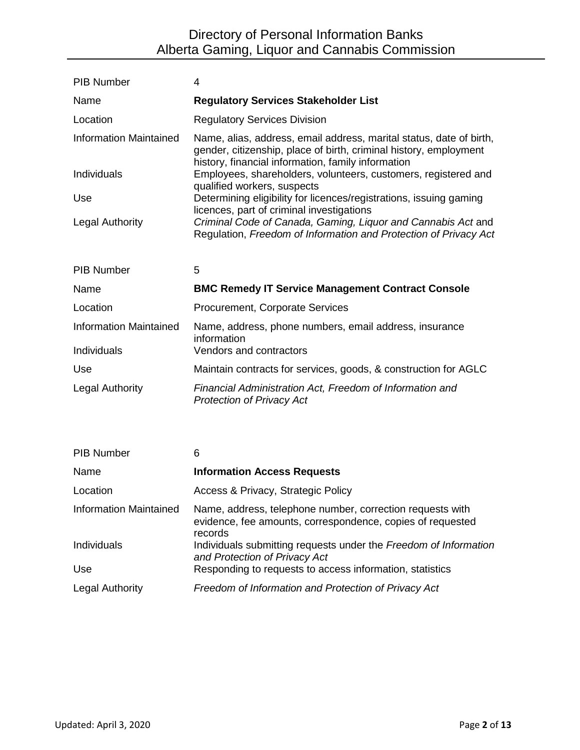| <b>PIB Number</b>             | 4                                                                                                                                                                                              |
|-------------------------------|------------------------------------------------------------------------------------------------------------------------------------------------------------------------------------------------|
| Name                          | <b>Regulatory Services Stakeholder List</b>                                                                                                                                                    |
| Location                      | <b>Regulatory Services Division</b>                                                                                                                                                            |
| <b>Information Maintained</b> | Name, alias, address, email address, marital status, date of birth,<br>gender, citizenship, place of birth, criminal history, employment<br>history, financial information, family information |
| Individuals                   | Employees, shareholders, volunteers, customers, registered and<br>qualified workers, suspects                                                                                                  |
| Use                           | Determining eligibility for licences/registrations, issuing gaming<br>licences, part of criminal investigations                                                                                |
| <b>Legal Authority</b>        | Criminal Code of Canada, Gaming, Liquor and Cannabis Act and<br>Regulation, Freedom of Information and Protection of Privacy Act                                                               |
| <b>PIB Number</b>             | 5                                                                                                                                                                                              |
| Name                          | <b>BMC Remedy IT Service Management Contract Console</b>                                                                                                                                       |
| Location                      | <b>Procurement, Corporate Services</b>                                                                                                                                                         |
| <b>Information Maintained</b> | Name, address, phone numbers, email address, insurance<br>information                                                                                                                          |
| Individuals                   | Vendors and contractors                                                                                                                                                                        |
| Use                           | Maintain contracts for services, goods, & construction for AGLC                                                                                                                                |
| <b>Legal Authority</b>        | Financial Administration Act, Freedom of Information and<br><b>Protection of Privacy Act</b>                                                                                                   |
|                               |                                                                                                                                                                                                |
| <b>PIB Number</b>             | 6                                                                                                                                                                                              |
| Nama                          | Information Accass Requiests                                                                                                                                                                   |

| Name                          | <b>Information Access Requests</b>                                                                                                 |
|-------------------------------|------------------------------------------------------------------------------------------------------------------------------------|
| Location                      | Access & Privacy, Strategic Policy                                                                                                 |
| <b>Information Maintained</b> | Name, address, telephone number, correction requests with<br>evidence, fee amounts, correspondence, copies of requested<br>records |
| Individuals                   | Individuals submitting requests under the Freedom of Information<br>and Protection of Privacy Act                                  |
| Use.                          | Responding to requests to access information, statistics                                                                           |
| <b>Legal Authority</b>        | Freedom of Information and Protection of Privacy Act                                                                               |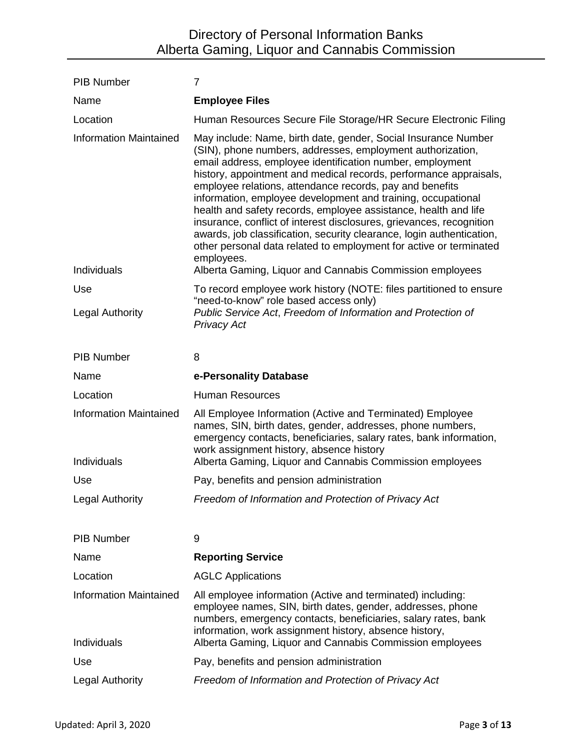| <b>PIB Number</b>                            | $\overline{7}$                                                                                                                                                                                                                                                                                                                                                                                                                                                                                                                                                                                                                                                                                     |
|----------------------------------------------|----------------------------------------------------------------------------------------------------------------------------------------------------------------------------------------------------------------------------------------------------------------------------------------------------------------------------------------------------------------------------------------------------------------------------------------------------------------------------------------------------------------------------------------------------------------------------------------------------------------------------------------------------------------------------------------------------|
| Name                                         | <b>Employee Files</b>                                                                                                                                                                                                                                                                                                                                                                                                                                                                                                                                                                                                                                                                              |
| Location                                     | Human Resources Secure File Storage/HR Secure Electronic Filing                                                                                                                                                                                                                                                                                                                                                                                                                                                                                                                                                                                                                                    |
| <b>Information Maintained</b>                | May include: Name, birth date, gender, Social Insurance Number<br>(SIN), phone numbers, addresses, employment authorization,<br>email address, employee identification number, employment<br>history, appointment and medical records, performance appraisals,<br>employee relations, attendance records, pay and benefits<br>information, employee development and training, occupational<br>health and safety records, employee assistance, health and life<br>insurance, conflict of interest disclosures, grievances, recognition<br>awards, job classification, security clearance, login authentication,<br>other personal data related to employment for active or terminated<br>employees. |
| Individuals                                  | Alberta Gaming, Liquor and Cannabis Commission employees                                                                                                                                                                                                                                                                                                                                                                                                                                                                                                                                                                                                                                           |
| Use<br><b>Legal Authority</b>                | To record employee work history (NOTE: files partitioned to ensure<br>"need-to-know" role based access only)<br>Public Service Act, Freedom of Information and Protection of<br><b>Privacy Act</b>                                                                                                                                                                                                                                                                                                                                                                                                                                                                                                 |
| <b>PIB Number</b>                            | 8                                                                                                                                                                                                                                                                                                                                                                                                                                                                                                                                                                                                                                                                                                  |
| Name                                         | e-Personality Database                                                                                                                                                                                                                                                                                                                                                                                                                                                                                                                                                                                                                                                                             |
| Location                                     | <b>Human Resources</b>                                                                                                                                                                                                                                                                                                                                                                                                                                                                                                                                                                                                                                                                             |
| <b>Information Maintained</b><br>Individuals | All Employee Information (Active and Terminated) Employee<br>names, SIN, birth dates, gender, addresses, phone numbers,<br>emergency contacts, beneficiaries, salary rates, bank information,<br>work assignment history, absence history<br>Alberta Gaming, Liquor and Cannabis Commission employees                                                                                                                                                                                                                                                                                                                                                                                              |
| Use                                          | Pay, benefits and pension administration                                                                                                                                                                                                                                                                                                                                                                                                                                                                                                                                                                                                                                                           |
| <b>Legal Authority</b>                       | Freedom of Information and Protection of Privacy Act                                                                                                                                                                                                                                                                                                                                                                                                                                                                                                                                                                                                                                               |
| <b>PIB Number</b>                            | 9                                                                                                                                                                                                                                                                                                                                                                                                                                                                                                                                                                                                                                                                                                  |
| Name                                         | <b>Reporting Service</b>                                                                                                                                                                                                                                                                                                                                                                                                                                                                                                                                                                                                                                                                           |
| Location                                     | <b>AGLC Applications</b>                                                                                                                                                                                                                                                                                                                                                                                                                                                                                                                                                                                                                                                                           |
| <b>Information Maintained</b><br>Individuals | All employee information (Active and terminated) including:<br>employee names, SIN, birth dates, gender, addresses, phone<br>numbers, emergency contacts, beneficiaries, salary rates, bank<br>information, work assignment history, absence history,<br>Alberta Gaming, Liquor and Cannabis Commission employees                                                                                                                                                                                                                                                                                                                                                                                  |
| Use                                          | Pay, benefits and pension administration                                                                                                                                                                                                                                                                                                                                                                                                                                                                                                                                                                                                                                                           |
| <b>Legal Authority</b>                       | Freedom of Information and Protection of Privacy Act                                                                                                                                                                                                                                                                                                                                                                                                                                                                                                                                                                                                                                               |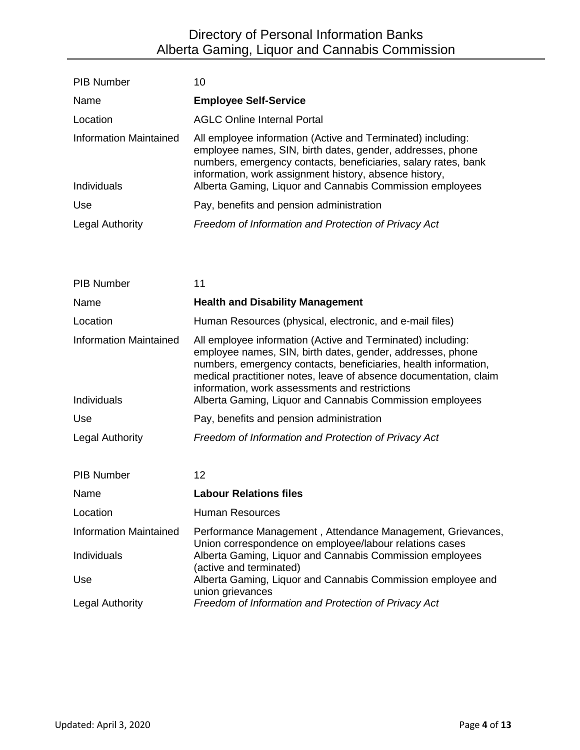| <b>PIB Number</b>                            | 10                                                                                                                                                                                                                                                                                                                |
|----------------------------------------------|-------------------------------------------------------------------------------------------------------------------------------------------------------------------------------------------------------------------------------------------------------------------------------------------------------------------|
| Name                                         | <b>Employee Self-Service</b>                                                                                                                                                                                                                                                                                      |
| Location                                     | <b>AGLC Online Internal Portal</b>                                                                                                                                                                                                                                                                                |
| <b>Information Maintained</b><br>Individuals | All employee information (Active and Terminated) including:<br>employee names, SIN, birth dates, gender, addresses, phone<br>numbers, emergency contacts, beneficiaries, salary rates, bank<br>information, work assignment history, absence history,<br>Alberta Gaming, Liquor and Cannabis Commission employees |
| Use                                          | Pay, benefits and pension administration                                                                                                                                                                                                                                                                          |
| <b>Legal Authority</b>                       | Freedom of Information and Protection of Privacy Act                                                                                                                                                                                                                                                              |

| <b>PIB Number</b>                            | 11                                                                                                                                                                                                                                                                                                                                                                              |
|----------------------------------------------|---------------------------------------------------------------------------------------------------------------------------------------------------------------------------------------------------------------------------------------------------------------------------------------------------------------------------------------------------------------------------------|
| Name                                         | <b>Health and Disability Management</b>                                                                                                                                                                                                                                                                                                                                         |
| Location                                     | Human Resources (physical, electronic, and e-mail files)                                                                                                                                                                                                                                                                                                                        |
| <b>Information Maintained</b><br>Individuals | All employee information (Active and Terminated) including:<br>employee names, SIN, birth dates, gender, addresses, phone<br>numbers, emergency contacts, beneficiaries, health information,<br>medical practitioner notes, leave of absence documentation, claim<br>information, work assessments and restrictions<br>Alberta Gaming, Liquor and Cannabis Commission employees |
| Use                                          | Pay, benefits and pension administration                                                                                                                                                                                                                                                                                                                                        |
| Legal Authority                              | Freedom of Information and Protection of Privacy Act                                                                                                                                                                                                                                                                                                                            |
| <b>PIB Number</b>                            | 12                                                                                                                                                                                                                                                                                                                                                                              |
| Name                                         | <b>Labour Relations files</b>                                                                                                                                                                                                                                                                                                                                                   |
| Location                                     | <b>Human Resources</b>                                                                                                                                                                                                                                                                                                                                                          |
| <b>Information Maintained</b>                | Performance Management, Attendance Management, Grievances,<br>Union correspondence on employee/labour relations cases                                                                                                                                                                                                                                                           |
| Individuals                                  | Alberta Gaming, Liquor and Cannabis Commission employees<br>(active and terminated)                                                                                                                                                                                                                                                                                             |
| Use                                          | Alberta Gaming, Liquor and Cannabis Commission employee and<br>union grievances                                                                                                                                                                                                                                                                                                 |
| <b>Legal Authority</b>                       | Freedom of Information and Protection of Privacy Act                                                                                                                                                                                                                                                                                                                            |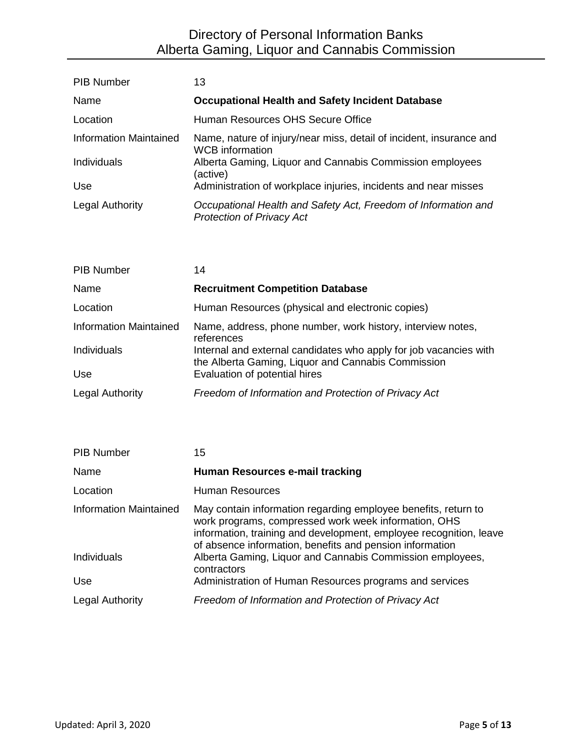| <b>PIB Number</b>             | 13                                                                                                 |
|-------------------------------|----------------------------------------------------------------------------------------------------|
| Name                          | <b>Occupational Health and Safety Incident Database</b>                                            |
| Location                      | Human Resources OHS Secure Office                                                                  |
| <b>Information Maintained</b> | Name, nature of injury/near miss, detail of incident, insurance and<br><b>WCB</b> information      |
| <b>Individuals</b>            | Alberta Gaming, Liquor and Cannabis Commission employees<br>(active)                               |
| Use                           | Administration of workplace injuries, incidents and near misses                                    |
| <b>Legal Authority</b>        | Occupational Health and Safety Act, Freedom of Information and<br><b>Protection of Privacy Act</b> |

| <b>PIB Number</b>             | 14                                                                                                                      |
|-------------------------------|-------------------------------------------------------------------------------------------------------------------------|
| Name                          | <b>Recruitment Competition Database</b>                                                                                 |
| Location                      | Human Resources (physical and electronic copies)                                                                        |
| <b>Information Maintained</b> | Name, address, phone number, work history, interview notes,<br>references                                               |
| Individuals                   | Internal and external candidates who apply for job vacancies with<br>the Alberta Gaming, Liquor and Cannabis Commission |
| Use                           | Evaluation of potential hires                                                                                           |
| <b>Legal Authority</b>        | Freedom of Information and Protection of Privacy Act                                                                    |

| <b>PIB Number</b>             | 15                                                                                                                                                                                                                                                       |
|-------------------------------|----------------------------------------------------------------------------------------------------------------------------------------------------------------------------------------------------------------------------------------------------------|
| Name                          | Human Resources e-mail tracking                                                                                                                                                                                                                          |
| Location                      | <b>Human Resources</b>                                                                                                                                                                                                                                   |
| <b>Information Maintained</b> | May contain information regarding employee benefits, return to<br>work programs, compressed work week information, OHS<br>information, training and development, employee recognition, leave<br>of absence information, benefits and pension information |
| <b>Individuals</b>            | Alberta Gaming, Liquor and Cannabis Commission employees,<br>contractors                                                                                                                                                                                 |
| Use                           | Administration of Human Resources programs and services                                                                                                                                                                                                  |
| <b>Legal Authority</b>        | Freedom of Information and Protection of Privacy Act                                                                                                                                                                                                     |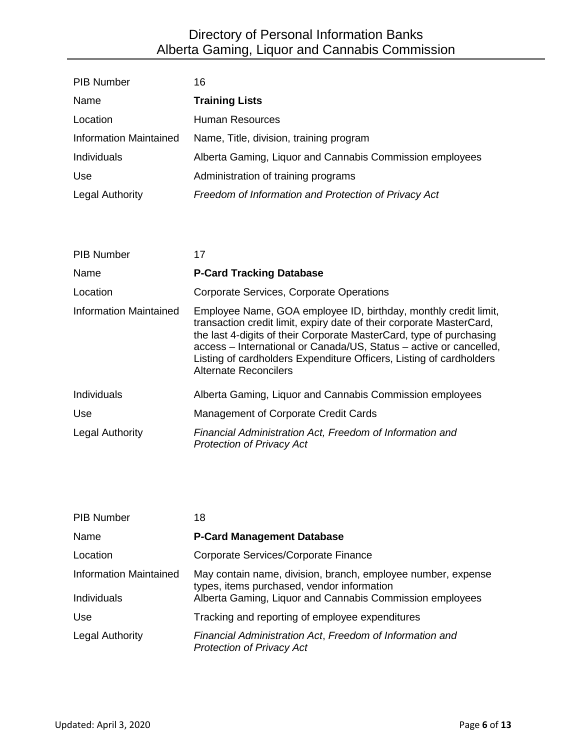| <b>PIB Number</b>             | 16                                                                                                                                                                                                                                                                                                                                                                                          |
|-------------------------------|---------------------------------------------------------------------------------------------------------------------------------------------------------------------------------------------------------------------------------------------------------------------------------------------------------------------------------------------------------------------------------------------|
| Name                          | <b>Training Lists</b>                                                                                                                                                                                                                                                                                                                                                                       |
| Location                      | <b>Human Resources</b>                                                                                                                                                                                                                                                                                                                                                                      |
| <b>Information Maintained</b> | Name, Title, division, training program                                                                                                                                                                                                                                                                                                                                                     |
| Individuals                   | Alberta Gaming, Liquor and Cannabis Commission employees                                                                                                                                                                                                                                                                                                                                    |
| Use                           | Administration of training programs                                                                                                                                                                                                                                                                                                                                                         |
| <b>Legal Authority</b>        | Freedom of Information and Protection of Privacy Act                                                                                                                                                                                                                                                                                                                                        |
|                               |                                                                                                                                                                                                                                                                                                                                                                                             |
| <b>PIB Number</b>             | 17                                                                                                                                                                                                                                                                                                                                                                                          |
|                               |                                                                                                                                                                                                                                                                                                                                                                                             |
| Name                          | <b>P-Card Tracking Database</b>                                                                                                                                                                                                                                                                                                                                                             |
| Location                      | Corporate Services, Corporate Operations                                                                                                                                                                                                                                                                                                                                                    |
| <b>Information Maintained</b> | Employee Name, GOA employee ID, birthday, monthly credit limit,<br>transaction credit limit, expiry date of their corporate MasterCard,<br>the last 4-digits of their Corporate MasterCard, type of purchasing<br>access – International or Canada/US, Status – active or cancelled,<br>Listing of cardholders Expenditure Officers, Listing of cardholders<br><b>Alternate Reconcilers</b> |
| Individuals                   | Alberta Gaming, Liquor and Cannabis Commission employees                                                                                                                                                                                                                                                                                                                                    |
| Use                           | Management of Corporate Credit Cards                                                                                                                                                                                                                                                                                                                                                        |
| Legal Authority               | Financial Administration Act, Freedom of Information and<br><b>Protection of Privacy Act</b>                                                                                                                                                                                                                                                                                                |

| <b>PIB Number</b>             | 18                                                                                                         |
|-------------------------------|------------------------------------------------------------------------------------------------------------|
| Name                          | <b>P-Card Management Database</b>                                                                          |
| Location                      | Corporate Services/Corporate Finance                                                                       |
| <b>Information Maintained</b> | May contain name, division, branch, employee number, expense<br>types, items purchased, vendor information |
| Individuals                   | Alberta Gaming, Liquor and Cannabis Commission employees                                                   |
| <b>Use</b>                    | Tracking and reporting of employee expenditures                                                            |
| Legal Authority               | Financial Administration Act, Freedom of Information and<br><b>Protection of Privacy Act</b>               |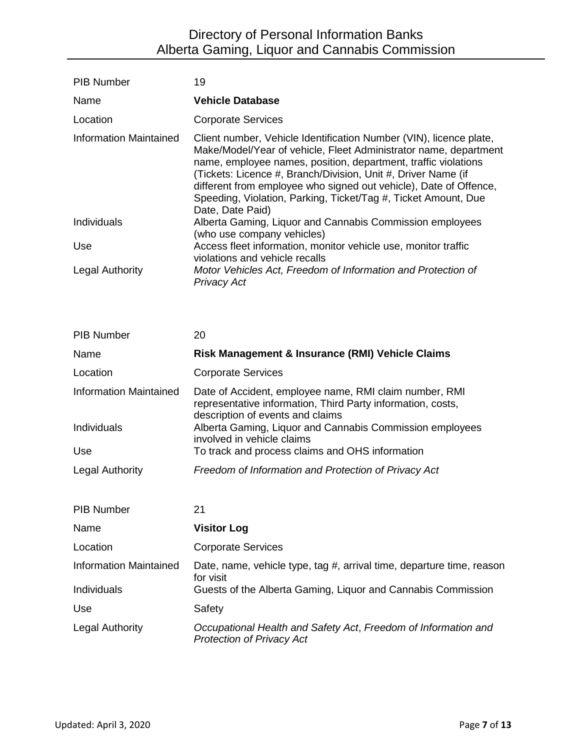| <b>PIB Number</b>             | 19                                                                                                                                                                                                                                                                                                                                                                                                                                   |
|-------------------------------|--------------------------------------------------------------------------------------------------------------------------------------------------------------------------------------------------------------------------------------------------------------------------------------------------------------------------------------------------------------------------------------------------------------------------------------|
| Name                          | <b>Vehicle Database</b>                                                                                                                                                                                                                                                                                                                                                                                                              |
| Location                      | <b>Corporate Services</b>                                                                                                                                                                                                                                                                                                                                                                                                            |
| <b>Information Maintained</b> | Client number, Vehicle Identification Number (VIN), licence plate,<br>Make/Model/Year of vehicle, Fleet Administrator name, department<br>name, employee names, position, department, traffic violations<br>(Tickets: Licence #, Branch/Division, Unit #, Driver Name (if<br>different from employee who signed out vehicle), Date of Offence,<br>Speeding, Violation, Parking, Ticket/Tag #, Ticket Amount, Due<br>Date, Date Paid) |
| Individuals                   | Alberta Gaming, Liquor and Cannabis Commission employees<br>(who use company vehicles)                                                                                                                                                                                                                                                                                                                                               |
| Use                           | Access fleet information, monitor vehicle use, monitor traffic<br>violations and vehicle recalls                                                                                                                                                                                                                                                                                                                                     |
| <b>Legal Authority</b>        | Motor Vehicles Act, Freedom of Information and Protection of<br><b>Privacy Act</b>                                                                                                                                                                                                                                                                                                                                                   |

| <b>PIB Number</b>             | 20                                                                                                                                                        |
|-------------------------------|-----------------------------------------------------------------------------------------------------------------------------------------------------------|
| Name                          | Risk Management & Insurance (RMI) Vehicle Claims                                                                                                          |
| Location                      | <b>Corporate Services</b>                                                                                                                                 |
| <b>Information Maintained</b> | Date of Accident, employee name, RMI claim number, RMI<br>representative information, Third Party information, costs,<br>description of events and claims |
| Individuals                   | Alberta Gaming, Liquor and Cannabis Commission employees<br>involved in vehicle claims                                                                    |
| Use                           | To track and process claims and OHS information                                                                                                           |
| Legal Authority               | Freedom of Information and Protection of Privacy Act                                                                                                      |
|                               |                                                                                                                                                           |
| <b>PIB Number</b>             | 21                                                                                                                                                        |
| Name                          | <b>Visitor Log</b>                                                                                                                                        |
| Location                      | <b>Corporate Services</b>                                                                                                                                 |
| <b>Information Maintained</b> | Date, name, vehicle type, tag #, arrival time, departure time, reason<br>for visit                                                                        |
| Individuals                   | Guests of the Alberta Gaming, Liquor and Cannabis Commission                                                                                              |
| Use                           | Safety                                                                                                                                                    |
| <b>Legal Authority</b>        | Occupational Health and Safety Act, Freedom of Information and<br><b>Protection of Privacy Act</b>                                                        |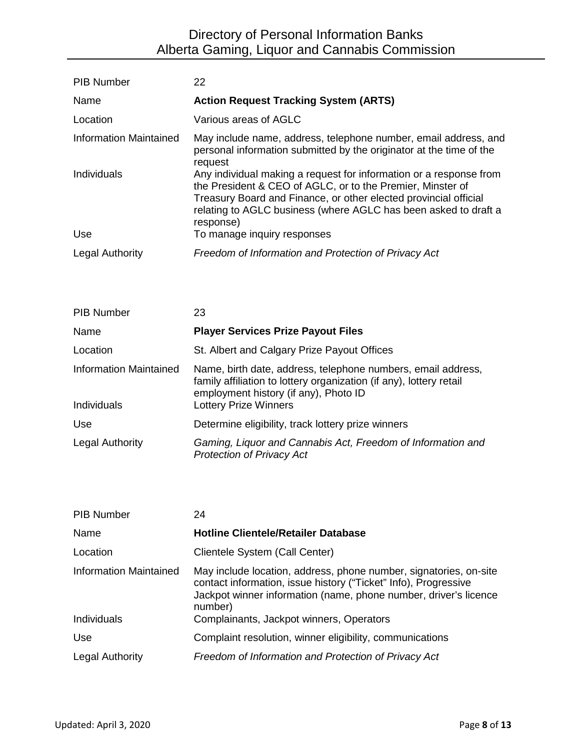| <b>PIB Number</b>      | 22                                                                                                                                                                                                                                                                                   |
|------------------------|--------------------------------------------------------------------------------------------------------------------------------------------------------------------------------------------------------------------------------------------------------------------------------------|
| Name                   | <b>Action Request Tracking System (ARTS)</b>                                                                                                                                                                                                                                         |
| Location               | Various areas of AGLC                                                                                                                                                                                                                                                                |
| Information Maintained | May include name, address, telephone number, email address, and<br>personal information submitted by the originator at the time of the<br>request                                                                                                                                    |
| Individuals            | Any individual making a request for information or a response from<br>the President & CEO of AGLC, or to the Premier, Minster of<br>Treasury Board and Finance, or other elected provincial official<br>relating to AGLC business (where AGLC has been asked to draft a<br>response) |
| Use                    | To manage inquiry responses                                                                                                                                                                                                                                                          |
| <b>Legal Authority</b> | Freedom of Information and Protection of Privacy Act                                                                                                                                                                                                                                 |

| <b>PIB Number</b>                     | 23                                                                                                                                                                                                           |
|---------------------------------------|--------------------------------------------------------------------------------------------------------------------------------------------------------------------------------------------------------------|
| Name                                  | <b>Player Services Prize Payout Files</b>                                                                                                                                                                    |
| Location                              | St. Albert and Calgary Prize Payout Offices                                                                                                                                                                  |
| Information Maintained<br>Individuals | Name, birth date, address, telephone numbers, email address,<br>family affiliation to lottery organization (if any), lottery retail<br>employment history (if any), Photo ID<br><b>Lottery Prize Winners</b> |
| <b>Use</b>                            | Determine eligibility, track lottery prize winners                                                                                                                                                           |
| <b>Legal Authority</b>                | Gaming, Liquor and Cannabis Act, Freedom of Information and<br><b>Protection of Privacy Act</b>                                                                                                              |

| <b>PIB Number</b>             | 24                                                                                                                                                                                                                  |
|-------------------------------|---------------------------------------------------------------------------------------------------------------------------------------------------------------------------------------------------------------------|
| Name                          | <b>Hotline Clientele/Retailer Database</b>                                                                                                                                                                          |
| Location                      | Clientele System (Call Center)                                                                                                                                                                                      |
| <b>Information Maintained</b> | May include location, address, phone number, signatories, on-site<br>contact information, issue history ("Ticket" Info), Progressive<br>Jackpot winner information (name, phone number, driver's licence<br>number) |
| Individuals                   | Complainants, Jackpot winners, Operators                                                                                                                                                                            |
| Use                           | Complaint resolution, winner eligibility, communications                                                                                                                                                            |
| <b>Legal Authority</b>        | Freedom of Information and Protection of Privacy Act                                                                                                                                                                |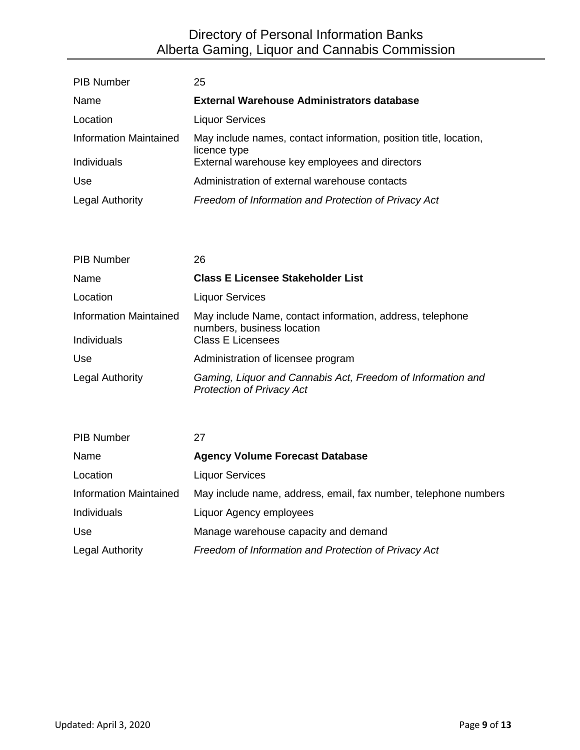| <b>PIB Number</b>             | 25                                                                                |
|-------------------------------|-----------------------------------------------------------------------------------|
| Name                          | <b>External Warehouse Administrators database</b>                                 |
| Location                      | <b>Liquor Services</b>                                                            |
| <b>Information Maintained</b> | May include names, contact information, position title, location,<br>licence type |
| Individuals                   | External warehouse key employees and directors                                    |
| <b>Use</b>                    | Administration of external warehouse contacts                                     |
| <b>Legal Authority</b>        | Freedom of Information and Protection of Privacy Act                              |

| <b>PIB Number</b>                     | 26                                                                                                                  |
|---------------------------------------|---------------------------------------------------------------------------------------------------------------------|
| Name                                  | <b>Class E Licensee Stakeholder List</b>                                                                            |
| Location                              | <b>Liquor Services</b>                                                                                              |
| Information Maintained<br>Individuals | May include Name, contact information, address, telephone<br>numbers, business location<br><b>Class E Licensees</b> |
| Use.                                  | Administration of licensee program                                                                                  |
| <b>Legal Authority</b>                | Gaming, Liquor and Cannabis Act, Freedom of Information and<br><b>Protection of Privacy Act</b>                     |

| <b>PIB Number</b>             | 27                                                              |
|-------------------------------|-----------------------------------------------------------------|
| Name                          | <b>Agency Volume Forecast Database</b>                          |
| Location                      | <b>Liquor Services</b>                                          |
| <b>Information Maintained</b> | May include name, address, email, fax number, telephone numbers |
| Individuals                   | Liquor Agency employees                                         |
| Use                           | Manage warehouse capacity and demand                            |
| <b>Legal Authority</b>        | Freedom of Information and Protection of Privacy Act            |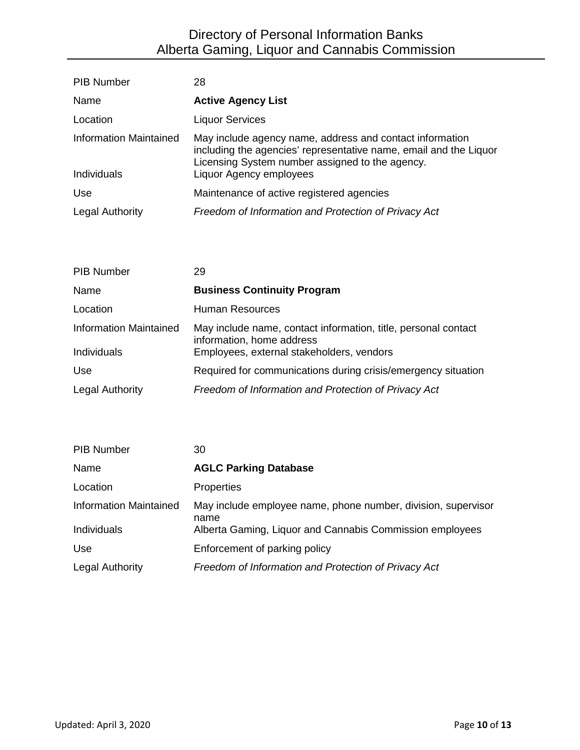| <b>PIB Number</b>             | 28                                                                                                                                                                               |
|-------------------------------|----------------------------------------------------------------------------------------------------------------------------------------------------------------------------------|
| Name                          | <b>Active Agency List</b>                                                                                                                                                        |
| Location                      | <b>Liquor Services</b>                                                                                                                                                           |
| <b>Information Maintained</b> | May include agency name, address and contact information<br>including the agencies' representative name, email and the Liquor<br>Licensing System number assigned to the agency. |
| Individuals                   | Liquor Agency employees                                                                                                                                                          |
| Use                           | Maintenance of active registered agencies                                                                                                                                        |
| <b>Legal Authority</b>        | Freedom of Information and Protection of Privacy Act                                                                                                                             |

| <b>PIB Number</b>             | 29                                                                                          |
|-------------------------------|---------------------------------------------------------------------------------------------|
| Name                          | <b>Business Continuity Program</b>                                                          |
| Location                      | Human Resources                                                                             |
| <b>Information Maintained</b> | May include name, contact information, title, personal contact<br>information, home address |
| Individuals                   | Employees, external stakeholders, vendors                                                   |
| <b>Use</b>                    | Required for communications during crisis/emergency situation                               |
| <b>Legal Authority</b>        | Freedom of Information and Protection of Privacy Act                                        |

| <b>PIB Number</b>             | 30                                                                    |
|-------------------------------|-----------------------------------------------------------------------|
| Name                          | <b>AGLC Parking Database</b>                                          |
| Location                      | <b>Properties</b>                                                     |
| <b>Information Maintained</b> | May include employee name, phone number, division, supervisor<br>name |
| Individuals                   | Alberta Gaming, Liquor and Cannabis Commission employees              |
| <b>Use</b>                    | Enforcement of parking policy                                         |
| <b>Legal Authority</b>        | Freedom of Information and Protection of Privacy Act                  |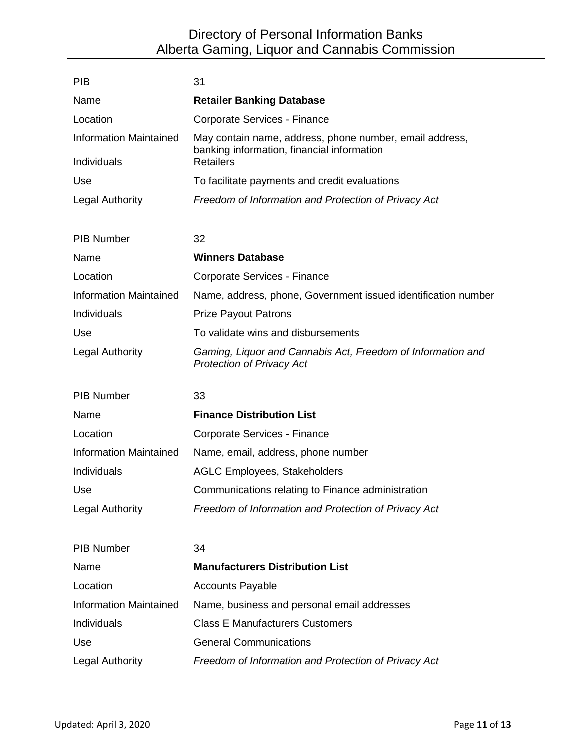| <b>PIB</b>                    | 31                                                                                                    |
|-------------------------------|-------------------------------------------------------------------------------------------------------|
| Name                          | <b>Retailer Banking Database</b>                                                                      |
| Location                      | Corporate Services - Finance                                                                          |
| <b>Information Maintained</b> | May contain name, address, phone number, email address,<br>banking information, financial information |
| Individuals                   | <b>Retailers</b>                                                                                      |
| Use                           | To facilitate payments and credit evaluations                                                         |
| <b>Legal Authority</b>        | Freedom of Information and Protection of Privacy Act                                                  |
| <b>PIB Number</b>             | 32                                                                                                    |
| Name                          | <b>Winners Database</b>                                                                               |
| Location                      | Corporate Services - Finance                                                                          |
| <b>Information Maintained</b> | Name, address, phone, Government issued identification number                                         |
| Individuals                   | <b>Prize Payout Patrons</b>                                                                           |
| Use                           | To validate wins and disbursements                                                                    |
| <b>Legal Authority</b>        | Gaming, Liquor and Cannabis Act, Freedom of Information and<br><b>Protection of Privacy Act</b>       |
| <b>PIB Number</b>             | 33                                                                                                    |
| Name                          | <b>Finance Distribution List</b>                                                                      |
| Location                      | Corporate Services - Finance                                                                          |
| <b>Information Maintained</b> | Name, email, address, phone number                                                                    |
| Individuals                   | <b>AGLC Employees, Stakeholders</b>                                                                   |
| Use                           | Communications relating to Finance administration                                                     |
| <b>Legal Authority</b>        | Freedom of Information and Protection of Privacy Act                                                  |
| <b>PIB Number</b>             | 34                                                                                                    |
| Name                          | <b>Manufacturers Distribution List</b>                                                                |
| Location                      | <b>Accounts Payable</b>                                                                               |
| <b>Information Maintained</b> | Name, business and personal email addresses                                                           |
| Individuals                   | <b>Class E Manufacturers Customers</b>                                                                |
| Use                           | <b>General Communications</b>                                                                         |
| <b>Legal Authority</b>        | Freedom of Information and Protection of Privacy Act                                                  |
|                               |                                                                                                       |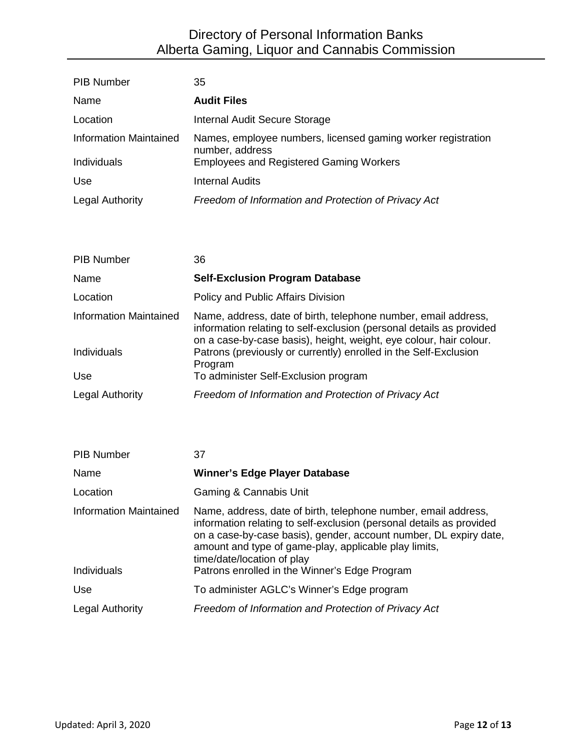| <b>PIB Number</b>      | 35                                                                              |
|------------------------|---------------------------------------------------------------------------------|
| Name                   | <b>Audit Files</b>                                                              |
| Location               | Internal Audit Secure Storage                                                   |
| Information Maintained | Names, employee numbers, licensed gaming worker registration<br>number, address |
| Individuals            | <b>Employees and Registered Gaming Workers</b>                                  |
| Use                    | <b>Internal Audits</b>                                                          |
| <b>Legal Authority</b> | Freedom of Information and Protection of Privacy Act                            |

| <b>PIB Number</b>             | 36                                                                                                                                                                                                           |
|-------------------------------|--------------------------------------------------------------------------------------------------------------------------------------------------------------------------------------------------------------|
| Name                          | <b>Self-Exclusion Program Database</b>                                                                                                                                                                       |
| Location                      | Policy and Public Affairs Division                                                                                                                                                                           |
| <b>Information Maintained</b> | Name, address, date of birth, telephone number, email address,<br>information relating to self-exclusion (personal details as provided<br>on a case-by-case basis), height, weight, eye colour, hair colour. |
| Individuals                   | Patrons (previously or currently) enrolled in the Self-Exclusion<br>Program                                                                                                                                  |
| Use                           | To administer Self-Exclusion program                                                                                                                                                                         |
| <b>Legal Authority</b>        | Freedom of Information and Protection of Privacy Act                                                                                                                                                         |

| <b>PIB Number</b>                     | 37                                                                                                                                                                                                                                                                                                                                                  |
|---------------------------------------|-----------------------------------------------------------------------------------------------------------------------------------------------------------------------------------------------------------------------------------------------------------------------------------------------------------------------------------------------------|
| Name                                  | <b>Winner's Edge Player Database</b>                                                                                                                                                                                                                                                                                                                |
| Location                              | Gaming & Cannabis Unit                                                                                                                                                                                                                                                                                                                              |
| Information Maintained<br>Individuals | Name, address, date of birth, telephone number, email address,<br>information relating to self-exclusion (personal details as provided<br>on a case-by-case basis), gender, account number, DL expiry date,<br>amount and type of game-play, applicable play limits,<br>time/date/location of play<br>Patrons enrolled in the Winner's Edge Program |
| Use                                   | To administer AGLC's Winner's Edge program                                                                                                                                                                                                                                                                                                          |
| <b>Legal Authority</b>                | Freedom of Information and Protection of Privacy Act                                                                                                                                                                                                                                                                                                |